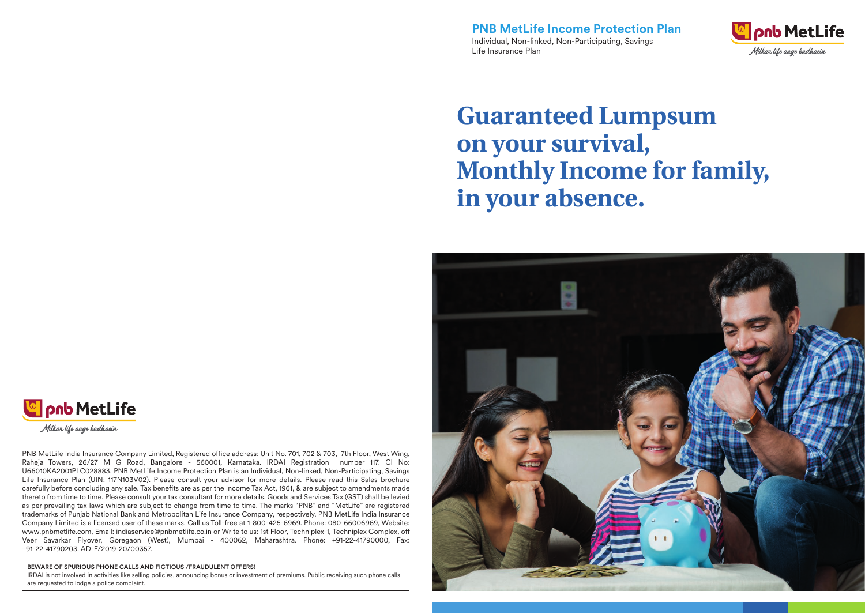**PNB MetLife Income Protection Plan** Individual, Non-linked, Non-Participating, Savings Life Insurance Plan



# **Guaranteed Lumpsum on your survival, Monthly Income for family, in your absence.**





Milkar life aage hadhaein

PNB MetLife India Insurance Company Limited, Registered office address: Unit No. 701, 702 & 703, 7th Floor, West Wing, Raheja Towers, 26/27 M G Road, Bangalore - 560001, Karnataka. IRDAI Registration number 117. CI No: U66010KA2001PLC028883. PNB MetLife Income Protection Plan is an Individual, Non-linked, Non-Participating, Savings Life Insurance Plan (UIN: 117N103V02). Please consult your advisor for more details. Please read this Sales brochure carefully before concluding any sale. Tax benefits are as per the Income Tax Act, 1961, & are subject to amendments made thereto from time to time. Please consult your tax consultant for more details. Goods and Services Tax (GST) shall be levied as per prevailing tax laws which are subject to change from time to time. The marks "PNB" and "MetLife" are registered trademarks of Punjab National Bank and Metropolitan Life Insurance Company, respectively. PNB MetLife India Insurance Company Limited is a licensed user of these marks. Call us Toll-free at 1-800-425-6969. Phone: 080-66006969, Website: www.pnbmetlife.com, Email: indiaservice@pnbmetlife.co.in or Write to us: 1st Floor, Techniplex-1, Techniplex Complex, o Veer Savarkar Flyover, Goregaon (West), Mumbai - 400062, Maharashtra. Phone: +91-22-41790000, Fax: +91-22-41790203. AD-F/2019-20/00357.

#### BEWARE OF SPURIOUS PHONE CALLS AND FICTIOUS /FRAUDULENT OFFERS!

IRDAI is not involved in activities like selling policies, announcing bonus or investment of premiums. Public receiving such phone calls are requested to lodge a police complaint.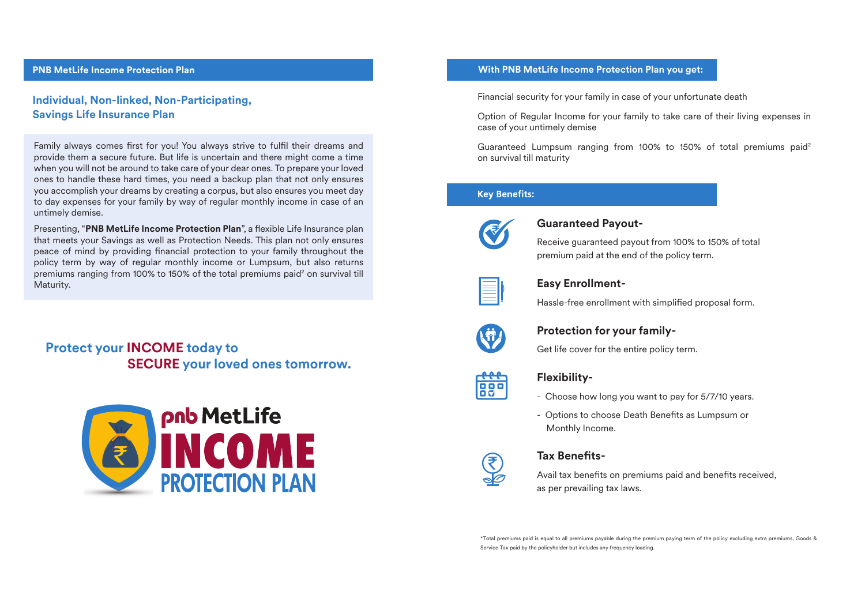# **Individual, Non-linked, Non-Participating, Savings Life Insurance Plan**

Family always comes first for you! You always strive to fulfil their dreams and provide them a secure future. But life is uncertain and there might come a time when you will not be around to take care of your dear ones. To prepare your loved ones to handle these hard times, you need a backup plan that not only ensures you accomplish your dreams by creating a corpus, but also ensures you meet day to day expenses for your family by way of regular monthly income in case of an untimely demise.

Presenting, "PNB MetLife Income Protection Plan", a flexible Life Insurance plan that meets your Savings as well as Protection Needs. This plan not only ensures peace of mind by providing financial protection to your family throughout the policy term by way of regular monthly income or Lumpsum, but also returns premiums ranging from 100% to 150% of the total premiums paid $^{\rm 2}$  on survival till Maturity.

**Protect your INCOME today to SECURE your loved ones tomorrow.**



# **PNB MetLife Income Protection Plan With PNB MetLife Income Protection Plan you get:**

Financial security for your family in case of your unfortunate death

Option of Regular Income for your family to take care of their living expenses in case of your untimely demise

Guaranteed Lumpsum ranging from 100% to 150% of total premiums paid2 on survival till maturity

# **Kev Benefits:**



# **Guaranteed Payout-**

Receive guaranteed payout from 100% to 150% of total premium paid at the end of the policy term.



# **Easy Enrollment-**

Hassle-free enrollment with simplified proposal form.



# **Protection for your family-**

Get life cover for the entire policy term.



# **Flexibility-**

- Choose how long you want to pay for 5/7/10 years.
- Options to choose Death Benefits as Lumpsum or Monthly Income.



# **Tax Benets-**

Avail tax benefits on premiums paid and benefits received, as per prevailing tax laws.

\*Total premiums paid is equal to all premiums payable during the premium paying term of the policy excluding extra premiums, Goods & Service Tax paid by the policyholder but includes any frequency loading.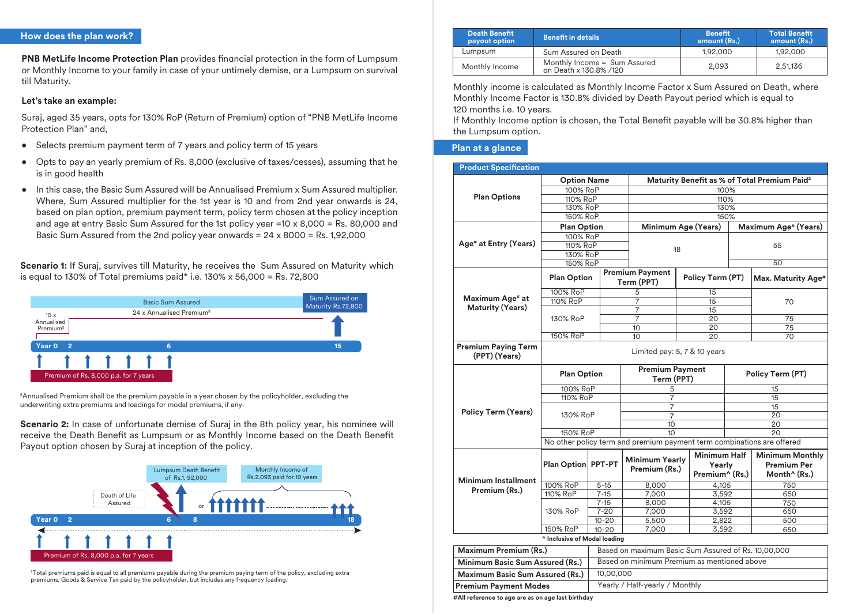# **How does the plan work?**

**PNB MetLife Income Protection Plan** provides financial protection in the form of Lumpsum or Monthly Income to your family in case of your untimely demise, or a Lumpsum on survival till Maturity.

# **Let's take an example:**

Suraj, aged 35 years, opts for 130% RoP (Return of Premium) option of "PNB MetLife Income Protection Plan" and,

- Selects premium payment term of 7 years and policy term of 15 years
- Opts to pay an yearly premium of Rs. 8,000 (exclusive of taxes/cesses), assuming that he is in good health
- In this case, the Basic Sum Assured will be Annualised Premium x Sum Assured multiplier. Where, Sum Assured multiplier for the 1st year is 10 and from 2nd year onwards is 24, based on plan option, premium payment term, policy term chosen at the policy inception and age at entry Basic Sum Assured for the 1st policy year =10 x 8,000 = Rs. 80,000 and Basic Sum Assured from the 2nd policy year onwards  $= 24 \times 8000 = \text{Rs } 1.92,000$

**Scenario 1:** If Suraj, survives till Maturity, he receives the Sum Assured on Maturity which is equal to 130% of Total premiums paid\* i.e.  $130\% \times 56,000 =$  Rs. 72,800



\$ Annualised Premium shall be the premium payable in a year chosen by the policyholder, excluding the underwriting extra premiums and loadings for modal premiums, if any.

**Scenario 2:** In case of unfortunate demise of Suraj in the 8th policy year, his nominee will receive the Death Benefit as Lumpsum or as Monthly Income based on the Death Benefit Payout option chosen by Suraj at inception of the policy.



2 Total premiums paid is equal to all premiums payable during the premium paying term of the policy, excluding extra premiums, Goods & Service Tax paid by the policyholder, but includes any frequency loading.

| <b>Death Benefit</b><br>payout option | <b>Benefit in details</b>                              | <b>Benefit</b><br>amount (Rs.) | <b>Total Benefit</b><br>amount (Rs.) |
|---------------------------------------|--------------------------------------------------------|--------------------------------|--------------------------------------|
| Lumpsum                               | Sum Assured on Death                                   | 1.92.000                       | 1,92,000                             |
| Monthly Income                        | Monthly Income = Sum Assured<br>on Death x 130.8% /120 | 2.093                          | 2,51,136                             |

Monthly income is calculated as Monthly Income Factor x Sum Assured on Death, where Monthly Income Factor is 130.8% divided by Death Payout period which is equal to 120 months i.e. 10 years.

If Monthly Income option is chosen, the Total Benefit payable will be 30.8% higher than the Lumpsum option.

### **Plan at a glance**

| <b>Product Specification</b>                |                                 |                                |                                                                        |                                                 |    |                                                                   |  |
|---------------------------------------------|---------------------------------|--------------------------------|------------------------------------------------------------------------|-------------------------------------------------|----|-------------------------------------------------------------------|--|
|                                             | <b>Option Name</b>              |                                |                                                                        |                                                 |    | Maturity Benefit as % of Total Premium Paid <sup>2</sup>          |  |
|                                             | 100% RoP                        |                                |                                                                        | 100%                                            |    |                                                                   |  |
| <b>Plan Options</b>                         | 110% RoP                        |                                |                                                                        | 110%                                            |    |                                                                   |  |
|                                             | 130% RoP                        |                                |                                                                        | 130%                                            |    |                                                                   |  |
|                                             | 150% RoP                        |                                | 150%                                                                   |                                                 |    |                                                                   |  |
|                                             | <b>Plan Option</b>              |                                |                                                                        | Minimum Age (Years)                             |    | Maximum Age# (Years)                                              |  |
| Age <sup>#</sup> at Entry (Years)           | 100% RoP                        |                                |                                                                        | 18                                              |    | 55<br>50                                                          |  |
|                                             | 110% RoP                        |                                |                                                                        |                                                 |    |                                                                   |  |
|                                             | 130% RoP                        |                                |                                                                        |                                                 |    |                                                                   |  |
|                                             | 150% RoP                        |                                |                                                                        |                                                 |    |                                                                   |  |
|                                             |                                 |                                | <b>Premium Payment</b>                                                 |                                                 |    |                                                                   |  |
|                                             | <b>Plan Option</b>              |                                | Term (PPT)                                                             | Policy Term (PT)                                |    | Max. Maturity Age#                                                |  |
|                                             | 100% RoP                        |                                | 5                                                                      | 15                                              |    |                                                                   |  |
| Maximum Age# at                             | 110% RoP                        |                                | 7                                                                      | 15                                              |    | 70                                                                |  |
| <b>Maturity (Years)</b>                     |                                 |                                | $\overline{7}$                                                         | 15                                              |    |                                                                   |  |
|                                             | 130% RoP                        |                                | 7                                                                      | 20                                              |    | 75                                                                |  |
|                                             |                                 |                                | 10                                                                     | 20                                              |    | 75                                                                |  |
|                                             | 150% RoP                        |                                | 10                                                                     | 20                                              |    | 70                                                                |  |
| <b>Premium Paying Term</b><br>(PPT) (Years) | Limited pay: 5, 7 & 10 years    |                                |                                                                        |                                                 |    |                                                                   |  |
|                                             | <b>Plan Option</b><br>100% RoP  |                                |                                                                        | <b>Premium Payment</b><br>Term (PPT)            |    | Policy Term (PT)                                                  |  |
|                                             |                                 |                                | 5                                                                      |                                                 | 15 |                                                                   |  |
|                                             | 110% RoP                        |                                | 7                                                                      |                                                 | 15 |                                                                   |  |
|                                             | 130% RoP                        |                                | 7                                                                      |                                                 | 15 |                                                                   |  |
| <b>Policy Term (Years)</b>                  |                                 |                                | $\overline{7}$                                                         |                                                 | 20 |                                                                   |  |
|                                             |                                 |                                | 10                                                                     |                                                 |    | $\overline{20}$                                                   |  |
|                                             | 150% RoP                        |                                | 10                                                                     |                                                 |    | 20                                                                |  |
|                                             |                                 |                                | No other policy term and premium payment term combinations are offered |                                                 |    |                                                                   |  |
| <b>Minimum Installment</b>                  | Plan Option PPT-PT              |                                | <b>Minimum Yearly</b><br>Premium (Rs.)                                 | <b>Minimum Half</b><br>Yearly<br>Premium^ (Rs.) |    | <b>Minimum Monthly</b><br>Premium Per<br>Month <sup>^</sup> (Rs.) |  |
|                                             | 100% RoP                        | $5 - 15$                       | 8,000                                                                  | 4.105                                           |    | 750                                                               |  |
| Premium (Rs.)                               | 110% RoP                        | $7 - 15$                       | 7,000                                                                  | 3,592                                           |    | 650                                                               |  |
|                                             |                                 | $7 - 15$                       | 8,000                                                                  | 4,105                                           |    | 750                                                               |  |
|                                             | 130% RoP                        | $7 - 20$                       | 7,000                                                                  | 3,592                                           |    | 650                                                               |  |
|                                             |                                 | $10 - 20$                      | 5,500                                                                  | 2,822                                           |    | 500                                                               |  |
|                                             | 150% RoP                        | $10 - 20$                      | 7,000                                                                  | 3,592                                           |    | 650                                                               |  |
|                                             | ^ Inclusive of Modal loading    |                                |                                                                        |                                                 |    |                                                                   |  |
| Maximum Premium (Rs.)                       |                                 |                                | Based on maximum Basic Sum Assured of Rs. 10,00,000                    |                                                 |    |                                                                   |  |
|                                             | Minimum Basic Sum Assured (Rs.) |                                | Based on minimum Premium as mentioned above                            |                                                 |    |                                                                   |  |
|                                             | Maximum Basic Sum Assured (Rs.) |                                | 10,00,000                                                              |                                                 |    |                                                                   |  |
| <b>Premium Payment Modes</b>                |                                 | Yearly / Half-yearly / Monthly |                                                                        |                                                 |    |                                                                   |  |

**#All reference to age are as on age last birthday**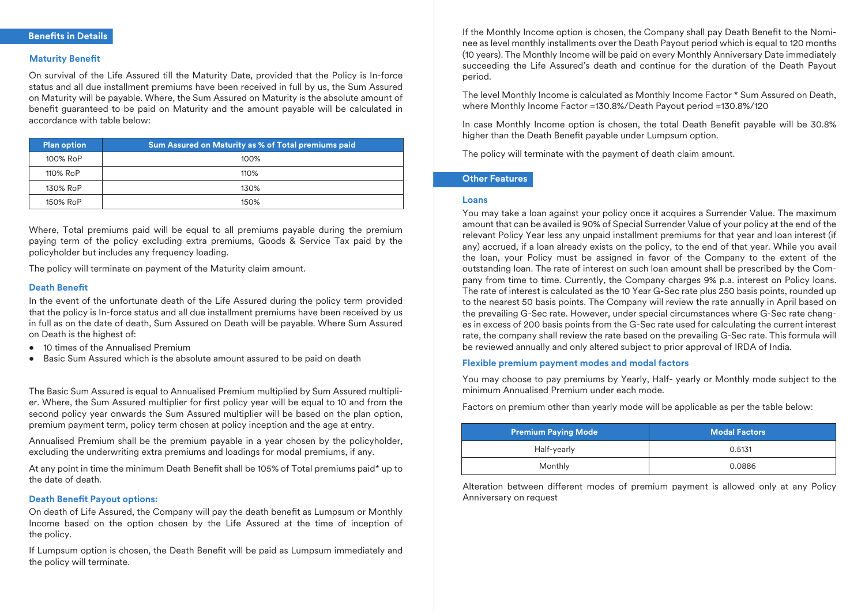# **Maturity Benefit**

On survival of the Life Assured till the Maturity Date, provided that the Policy is In-force status and all due installment premiums have been received in full by us, the Sum Assured on Maturity will be payable. Where, the Sum Assured on Maturity is the absolute amount of benefit guaranteed to be paid on Maturity and the amount payable will be calculated in accordance with table below:

| <b>Plan option</b> | Sum Assured on Maturity as % of Total premiums paid |  |
|--------------------|-----------------------------------------------------|--|
| 100% RoP           | 100%                                                |  |
| 110% RoP           | 110%                                                |  |
| 130% RoP           | 130%                                                |  |
| 150% RoP           | 150%                                                |  |

Where, Total premiums paid will be equal to all premiums payable during the premium paying term of the policy excluding extra premiums, Goods & Service Tax paid by the policyholder but includes any frequency loading.

The policy will terminate on payment of the Maturity claim amount.

#### **Death Benefit**

In the event of the unfortunate death of the Life Assured during the policy term provided that the policy is In-force status and all due installment premiums have been received by us in full as on the date of death, Sum Assured on Death will be payable. Where Sum Assured on Death is the highest of:

- 10 times of the Annualised Premium
- Basic Sum Assured which is the absolute amount assured to be paid on death

The Basic Sum Assured is equal to Annualised Premium multiplied by Sum Assured multiplier. Where, the Sum Assured multiplier for first policy year will be equal to 10 and from the second policy year onwards the Sum Assured multiplier will be based on the plan option, premium payment term, policy term chosen at policy inception and the age at entry.

Annualised Premium shall be the premium payable in a year chosen by the policyholder, excluding the underwriting extra premiums and loadings for modal premiums, if any.

At any point in time the minimum Death Benefit shall be 105% of Total premiums paid\* up to the date of death.

#### **Death Benefit Payout options:**

On death of Life Assured, the Company will pay the death benefit as Lumpsum or Monthly Income based on the option chosen by the Life Assured at the time of inception of the policy.

If Lumpsum option is chosen, the Death Benefit will be paid as Lumpsum immediately and the policy will terminate.

If the Monthly Income option is chosen, the Company shall pay Death Benefit to the Nominee as level monthly installments over the Death Payout period which is equal to 120 months (10 years). The Monthly Income will be paid on every Monthly Anniversary Date immediately succeeding the Life Assured's death and continue for the duration of the Death Payout period.

The level Monthly Income is calculated as Monthly Income Factor \* Sum Assured on Death, where Monthly Income Factor =130.8%/Death Payout period =130.8%/120

In case Monthly Income option is chosen, the total Death Benefit payable will be 30.8% higher than the Death Benefit payable under Lumpsum option.

The policy will terminate with the payment of death claim amount.

# **Other Features**

#### **Loans**

You may take a loan against your policy once it acquires a Surrender Value. The maximum amount that can be availed is 90% of Special Surrender Value of your policy at the end of the relevant Policy Year less any unpaid installment premiums for that year and loan interest (if any) accrued, if a loan already exists on the policy, to the end of that year. While you avail the loan, your Policy must be assigned in favor of the Company to the extent of the outstanding loan. The rate of interest on such loan amount shall be prescribed by the Company from time to time. Currently, the Company charges 9% p.a. interest on Policy loans. The rate of interest is calculated as the 10 Year G-Sec rate plus 250 basis points, rounded up to the nearest 50 basis points. The Company will review the rate annually in April based on the prevailing G-Sec rate. However, under special circumstances where G-Sec rate changes in excess of 200 basis points from the G-Sec rate used for calculating the current interest rate, the company shall review the rate based on the prevailing G-Sec rate. This formula will be reviewed annually and only altered subject to prior approval of IRDA of India.

# **Flexible premium payment modes and modal factors**

You may choose to pay premiums by Yearly, Half- yearly or Monthly mode subject to the minimum Annualised Premium under each mode.

Factors on premium other than yearly mode will be applicable as per the table below:

| <b>Premium Paying Mode</b> | <b>Modal Factors</b> |  |
|----------------------------|----------------------|--|
| Half-yearly                | 0.5131               |  |
| Monthly                    | 0.0886               |  |

Alteration between different modes of premium payment is allowed only at any Policy Anniversary on request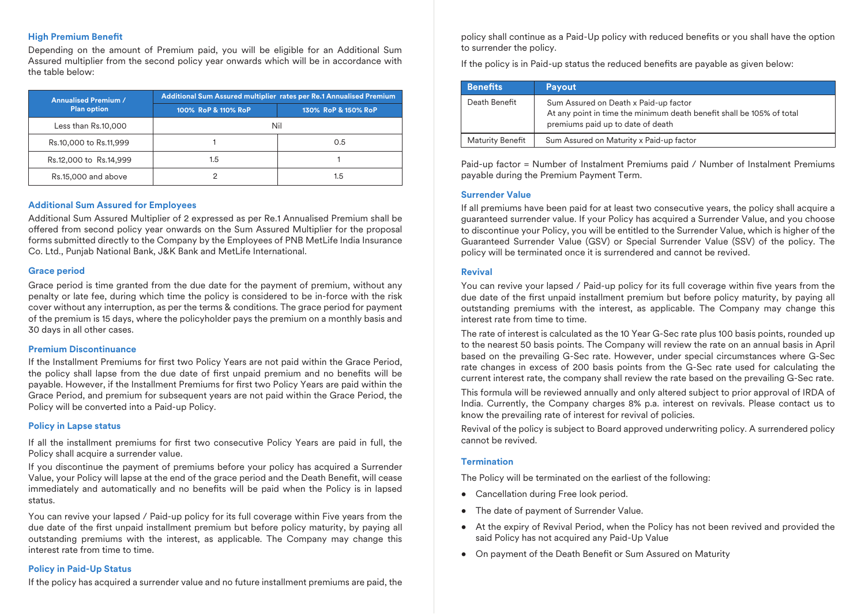# **High Premium Benefit**

Depending on the amount of Premium paid, you will be eligible for an Additional Sum Assured multiplier from the second policy year onwards which will be in accordance with the table below:

| <b>Annualised Premium /</b> | Additional Sum Assured multiplier rates per Re.1 Annualised Premium |                     |  |
|-----------------------------|---------------------------------------------------------------------|---------------------|--|
| <b>Plan option</b>          | 100% RoP & 110% RoP                                                 | 130% RoP & 150% RoP |  |
| Less than Rs.10,000         |                                                                     | Nil                 |  |
| Rs.10,000 to Rs.11,999      |                                                                     | 0.5                 |  |
| Rs.12,000 to Rs.14,999      | 1.5                                                                 |                     |  |
| Rs.15,000 and above         |                                                                     | 1.5                 |  |

# **Additional Sum Assured for Employees**

Additional Sum Assured Multiplier of 2 expressed as per Re.1 Annualised Premium shall be offered from second policy year onwards on the Sum Assured Multiplier for the proposal forms submitted directly to the Company by the Employees of PNB MetLife India Insurance Co. Ltd., Punjab National Bank, J&K Bank and MetLife International.

# **Grace period**

Grace period is time granted from the due date for the payment of premium, without any penalty or late fee, during which time the policy is considered to be in-force with the risk cover without any interruption, as per the terms & conditions. The grace period for payment of the premium is 15 days, where the policyholder pays the premium on a monthly basis and 30 days in all other cases.

# **Premium Discontinuance**

If the Installment Premiums for first two Policy Years are not paid within the Grace Period, the policy shall lapse from the due date of first unpaid premium and no benefits will be payable. However, if the Installment Premiums for first two Policy Years are paid within the Grace Period, and premium for subsequent years are not paid within the Grace Period, the Policy will be converted into a Paid-up Policy.

# **Policy in Lapse status**

If all the installment premiums for first two consecutive Policy Years are paid in full, the Policy shall acquire a surrender value.

If you discontinue the payment of premiums before your policy has acquired a Surrender Value, your Policy will lapse at the end of the grace period and the Death Benefit, will cease immediately and automatically and no benefits will be paid when the Policy is in lapsed status.

You can revive your lapsed / Paid-up policy for its full coverage within Five years from the due date of the first unpaid installment premium but before policy maturity, by paying all outstanding premiums with the interest, as applicable. The Company may change this interest rate from time to time.

# **Policy in Paid-Up Status**

If the policy has acquired a surrender value and no future installment premiums are paid, the

policy shall continue as a Paid-Up policy with reduced benefits or you shall have the option to surrender the policy.

If the policy is in Paid-up status the reduced benefits are payable as given below:

| <b>Benefits</b>         | <b>Payout</b>                                                                                                                                       |
|-------------------------|-----------------------------------------------------------------------------------------------------------------------------------------------------|
| Death Benefit           | Sum Assured on Death x Paid-up factor<br>At any point in time the minimum death benefit shall be 105% of total<br>premiums paid up to date of death |
| <b>Maturity Benefit</b> | Sum Assured on Maturity x Paid-up factor                                                                                                            |

Paid-up factor = Number of Instalment Premiums paid / Number of Instalment Premiums payable during the Premium Payment Term.

# **Surrender Value**

If all premiums have been paid for at least two consecutive years, the policy shall acquire a guaranteed surrender value. If your Policy has acquired a Surrender Value, and you choose to discontinue your Policy, you will be entitled to the Surrender Value, which is higher of the Guaranteed Surrender Value (GSV) or Special Surrender Value (SSV) of the policy. The policy will be terminated once it is surrendered and cannot be revived.

# **Revival**

You can revive your lapsed / Paid-up policy for its full coverage within five years from the due date of the first unpaid installment premium but before policy maturity, by paying all outstanding premiums with the interest, as applicable. The Company may change this interest rate from time to time.

The rate of interest is calculated as the 10 Year G-Sec rate plus 100 basis points, rounded up to the nearest 50 basis points. The Company will review the rate on an annual basis in April based on the prevailing G-Sec rate. However, under special circumstances where G-Sec rate changes in excess of 200 basis points from the G-Sec rate used for calculating the current interest rate, the company shall review the rate based on the prevailing G-Sec rate.

This formula will be reviewed annually and only altered subject to prior approval of IRDA of India. Currently, the Company charges 8% p.a. interest on revivals. Please contact us to know the prevailing rate of interest for revival of policies.

Revival of the policy is subject to Board approved underwriting policy. A surrendered policy cannot be revived.

# **Termination**

The Policy will be terminated on the earliest of the following:

- Cancellation during Free look period.
- The date of payment of Surrender Value.
- At the expiry of Revival Period, when the Policy has not been revived and provided the said Policy has not acquired any Paid-Up Value
- On payment of the Death Benefit or Sum Assured on Maturity